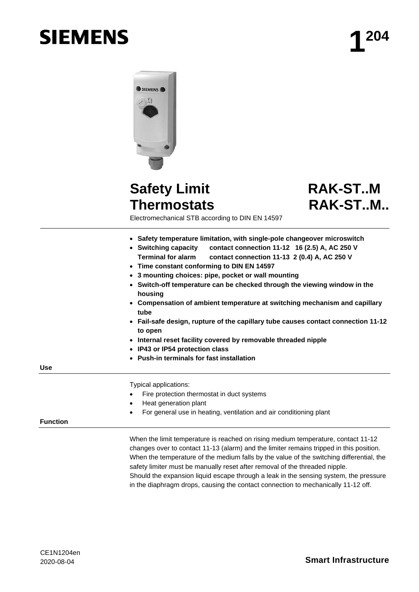# **SIEMENS**



# **Safety Limit Thermostats**

# **RAK-ST..M RAK-ST..M..**

Electromechanical STB according to DIN EN 14597

- **Safety temperature limitation, with single-pole changeover microswitch**
- **Switching capacity contact connection 11-12 16 (2.5) A, AC 250 V Terminal for alarm contact connection 11-13 2 (0.4) A, AC 250 V**
- **Time constant conforming to DIN EN 14597**
- **3 mounting choices: pipe, pocket or wall mounting**
- **Switch-off temperature can be checked through the viewing window in the housing**
- **Compensation of ambient temperature at switching mechanism and capillary tube**
- **Fail-safe design, rupture of the capillary tube causes contact connection 11-12 to open**
- **Internal reset facility covered by removable threaded nipple**
- **IP43 or IP54 protection class**
- **Push-in terminals for fast installation**

**Use**

Typical applications:

- Fire protection thermostat in duct systems
- Heat generation plant
- For general use in heating, ventilation and air conditioning plant

#### **Function**

When the limit temperature is reached on rising medium temperature, contact 11-12 changes over to contact 11-13 (alarm) and the limiter remains tripped in this position. When the temperature of the medium falls by the value of the switching differential, the safety limiter must be manually reset after removal of the threaded nipple. Should the expansion liquid escape through a leak in the sensing system, the pressure in the diaphragm drops, causing the contact connection to mechanically 11-12 off.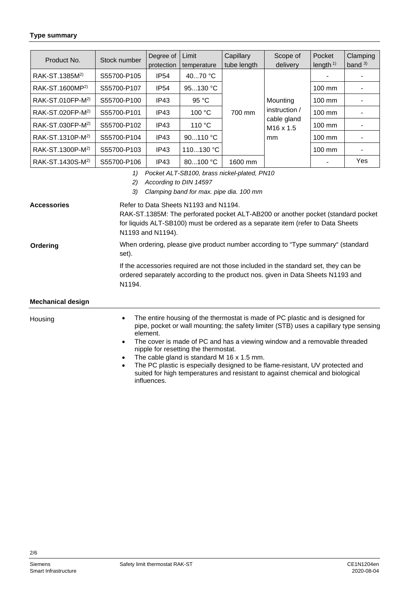#### **Type summary**

| Product No.                  | Stock number | Degree of<br>protection | Limit<br>temperature | Capillary<br>tube length | Scope of<br>delivery                       | Pocket<br>length $1$ ) | Clamping<br>band $3)$ |
|------------------------------|--------------|-------------------------|----------------------|--------------------------|--------------------------------------------|------------------------|-----------------------|
| RAK-ST.1385M <sup>2)</sup>   | S55700-P105  | <b>IP54</b>             | 40 $70 °C$           |                          |                                            |                        |                       |
| RAK-ST.1600MP <sup>2)</sup>  | S55700-P107  | <b>IP54</b>             | 95130 °C             |                          |                                            | 100 mm                 |                       |
| RAK-ST.010FP-M <sup>2)</sup> | S55700-P100  | IP43                    | 95 °C                |                          | Mounting                                   | $100 \text{ mm}$       |                       |
| RAK-ST.020FP-M <sup>2)</sup> | S55700-P101  | IP43                    | 100 °C               | 700 mm                   | instruction /                              | $100 \text{ mm}$       |                       |
| RAK-ST.030FP-M <sup>2)</sup> | S55700-P102  | IP43                    | 110 °C               |                          | cable gland<br>M <sub>16</sub> x 1.5<br>mm | 100 mm                 |                       |
| RAK-ST.1310P-M <sup>2)</sup> | S55700-P104  | IP43                    | 90110 °C             |                          |                                            | $100 \text{ mm}$       |                       |
| RAK-ST.1300P-M <sup>2)</sup> | S55700-P103  | IP43                    | 110130 °C            |                          |                                            | $100 \text{ mm}$       |                       |
| RAK-ST.1430S-M <sup>2)</sup> | S55700-P106  | IP <sub>43</sub>        | 80100 °C             | 1600 mm                  |                                            |                        | Yes                   |

- *1) Pocket ALT-SB100, brass nickel-plated, PN10*
- *2) According to DIN 14597*
- *3) Clamping band for max. pipe dia. 100 mm*

| <b>Accessories</b> |  |  |
|--------------------|--|--|
|                    |  |  |

Refer to Data Sheets N1193 and N1194. RAK-ST.1385M: The perforated pocket ALT-AB200 or another pocket (standard pocket for liquids ALT-SB100) must be ordered as a separate item (refer to Data Sheets N1193 and N1194).

#### **Ordering**

set). If the accessories required are not those included in the standard set, they can be ordered separately according to the product nos. given in Data Sheets N1193 and N1194.

When ordering, please give product number according to "Type summary" (standard

#### **Mechanical design**

**Housing** 

- The entire housing of the thermostat is made of PC plastic and is designed for pipe, pocket or wall mounting; the safety limiter (STB) uses a capillary type sensing element.
- The cover is made of PC and has a viewing window and a removable threaded nipple for resetting the thermostat.
- The cable gland is standard M 16  $\times$  1.5 mm.
- The PC plastic is especially designed to be flame-resistant, UV protected and suited for high temperatures and resistant to against chemical and biological influences.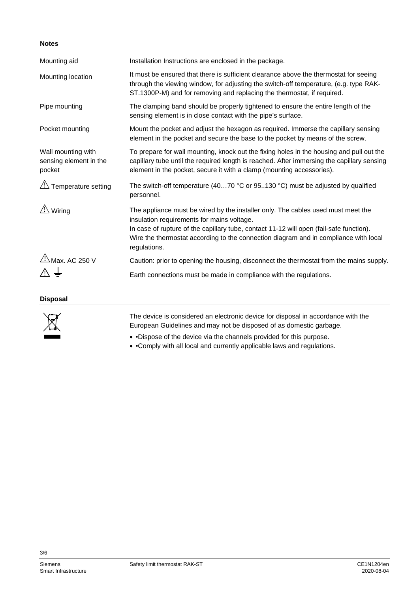## **Notes**

| Mounting aid                                           | Installation Instructions are enclosed in the package.                                                                                                                                                                                                                                                                            |
|--------------------------------------------------------|-----------------------------------------------------------------------------------------------------------------------------------------------------------------------------------------------------------------------------------------------------------------------------------------------------------------------------------|
| Mounting location                                      | It must be ensured that there is sufficient clearance above the thermostat for seeing<br>through the viewing window, for adjusting the switch-off temperature, (e.g. type RAK-<br>ST.1300P-M) and for removing and replacing the thermostat, if required.                                                                         |
| Pipe mounting                                          | The clamping band should be properly tightened to ensure the entire length of the<br>sensing element is in close contact with the pipe's surface.                                                                                                                                                                                 |
| Pocket mounting                                        | Mount the pocket and adjust the hexagon as required. Immerse the capillary sensing<br>element in the pocket and secure the base to the pocket by means of the screw.                                                                                                                                                              |
| Wall mounting with<br>sensing element in the<br>pocket | To prepare for wall mounting, knock out the fixing holes in the housing and pull out the<br>capillary tube until the required length is reached. After immersing the capillary sensing<br>element in the pocket, secure it with a clamp (mounting accessories).                                                                   |
| $\sqrt{!}$ Temperature setting                         | The switch-off temperature (4070 $\degree$ C or 95130 $\degree$ C) must be adjusted by qualified<br>personnel.                                                                                                                                                                                                                    |
| Wiring                                                 | The appliance must be wired by the installer only. The cables used must meet the<br>insulation requirements for mains voltage.<br>In case of rupture of the capillary tube, contact 11-12 will open (fail-safe function).<br>Wire the thermostat according to the connection diagram and in compliance with local<br>regulations. |
| $\frac{\text{N}}{\text{Max}}$ AC 250 V                 | Caution: prior to opening the housing, disconnect the thermostat from the mains supply.                                                                                                                                                                                                                                           |
|                                                        | Earth connections must be made in compliance with the regulations.                                                                                                                                                                                                                                                                |

**Disposal**



The device is considered an electronic device for disposal in accordance with the European Guidelines and may not be disposed of as domestic garbage.

• •Dispose of the device via the channels provided for this purpose.

• •Comply with all local and currently applicable laws and regulations.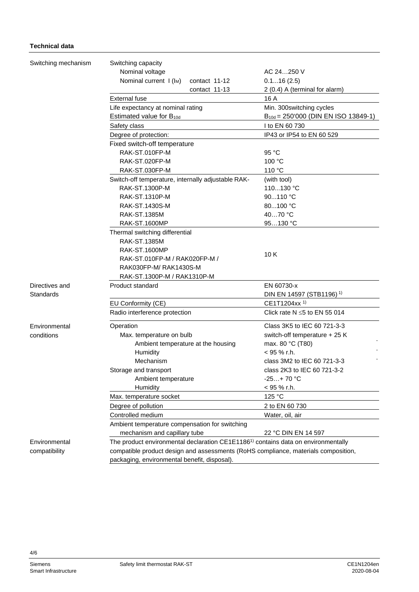## **Technical data**

| Switching mechanism | Switching capacity                                                                            |                                          |  |  |
|---------------------|-----------------------------------------------------------------------------------------------|------------------------------------------|--|--|
|                     | Nominal voltage                                                                               | AC 24250 V                               |  |  |
|                     | Nominal current I (I <sub>M</sub> )<br>contact 11-12                                          | 0.116(2.5)                               |  |  |
|                     | contact 11-13                                                                                 | 2 (0.4) A (terminal for alarm)           |  |  |
|                     | <b>External fuse</b>                                                                          | 16 A                                     |  |  |
|                     | Life expectancy at nominal rating                                                             | Min. 300switching cycles                 |  |  |
|                     | Estimated value for B <sub>10d</sub>                                                          | $B_{10d} = 250'000$ (DIN EN ISO 13849-1) |  |  |
|                     | Safety class                                                                                  | I to EN 60 730                           |  |  |
|                     | Degree of protection:                                                                         | IP43 or IP54 to EN 60 529                |  |  |
|                     | Fixed switch-off temperature                                                                  |                                          |  |  |
|                     | RAK-ST.010FP-M                                                                                | 95 °C                                    |  |  |
|                     | RAK-ST.020FP-M                                                                                | 100 °C                                   |  |  |
|                     | RAK-ST.030FP-M                                                                                | 110 °C                                   |  |  |
|                     | Switch-off temperature, internally adjustable RAK-                                            | (with tool)                              |  |  |
|                     | RAK-ST.1300P-M                                                                                | 110130 °C                                |  |  |
|                     | RAK-ST.1310P-M                                                                                | 90110 °C                                 |  |  |
|                     | RAK-ST.1430S-M                                                                                | 80100 °C                                 |  |  |
|                     | <b>RAK-ST.1385M</b>                                                                           | 4070 °C                                  |  |  |
|                     | <b>RAK-ST.1600MP</b>                                                                          | 95130 °C                                 |  |  |
|                     | Thermal switching differential                                                                |                                          |  |  |
|                     | RAK-ST.1385M                                                                                  |                                          |  |  |
|                     | <b>RAK-ST.1600MP</b>                                                                          |                                          |  |  |
|                     | RAK-ST.010FP-M / RAK020FP-M /                                                                 | 10K                                      |  |  |
|                     | RAK030FP-M/RAK1430S-M                                                                         |                                          |  |  |
|                     | RAK-ST.1300P-M / RAK1310P-M                                                                   |                                          |  |  |
| Directives and      | Product standard                                                                              | EN 60730-x                               |  |  |
| Standards           |                                                                                               | DIN EN 14597 (STB1196) <sup>1)</sup>     |  |  |
|                     | EU Conformity (CE)                                                                            | CE1T1204xx <sup>1)</sup>                 |  |  |
|                     | Radio interference protection                                                                 | Click rate $N \le 5$ to EN 55 014        |  |  |
| Environmental       | Operation                                                                                     | Class 3K5 to IEC 60 721-3-3              |  |  |
| conditions          | Max. temperature on bulb                                                                      | switch-off temperature + 25 K            |  |  |
|                     | Ambient temperature at the housing                                                            | max. 80 °C (T80)                         |  |  |
|                     | Humidity                                                                                      | $<$ 95 % r.h.                            |  |  |
|                     | Mechanism                                                                                     | class 3M2 to IEC 60 721-3-3              |  |  |
|                     | Storage and transport                                                                         | class 2K3 to IEC 60 721-3-2              |  |  |
|                     | Ambient temperature                                                                           | $-25+70 °C$                              |  |  |
|                     | Humidity                                                                                      | < 95 % r.h.                              |  |  |
|                     | Max. temperature socket                                                                       | 125 °C                                   |  |  |
|                     | Degree of pollution                                                                           | 2 to EN 60 730                           |  |  |
|                     | Controlled medium                                                                             | Water, oil, air                          |  |  |
|                     | Ambient temperature compensation for switching                                                |                                          |  |  |
|                     | mechanism and capillary tube<br>22 °C DIN EN 14 597                                           |                                          |  |  |
| Environmental       | The product environmental declaration CE1E1186 <sup>1)</sup> contains data on environmentally |                                          |  |  |
| compatibility       | compatible product design and assessments (RoHS compliance, materials composition,            |                                          |  |  |
|                     | packaging, environmental benefit, disposal).                                                  |                                          |  |  |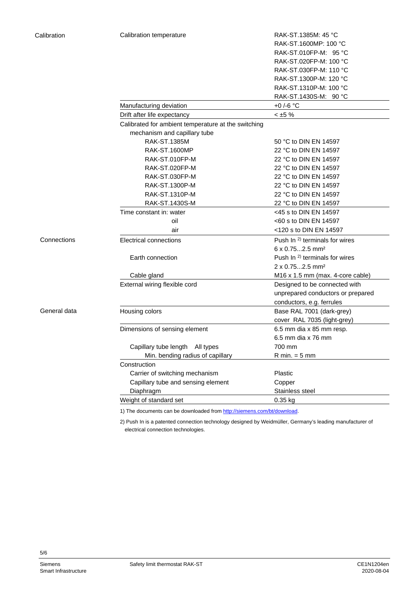| alibration   | Calibration temperature                             | RAK-ST.1385M: 45 °C                       |  |  |
|--------------|-----------------------------------------------------|-------------------------------------------|--|--|
|              |                                                     | RAK-ST.1600MP: 100 °C                     |  |  |
|              |                                                     | RAK-ST.010FP-M: 95 °C                     |  |  |
|              |                                                     | RAK-ST.020FP-M: 100 °C                    |  |  |
|              |                                                     | RAK-ST.030FP-M: 110 °C                    |  |  |
|              |                                                     | RAK-ST.1300P-M: 120 °C                    |  |  |
|              |                                                     | RAK-ST.1310P-M: 100 °C                    |  |  |
|              |                                                     | RAK-ST.1430S-M: 90 °C                     |  |  |
|              | Manufacturing deviation                             | +0 /-6 $^{\circ}$ C                       |  |  |
|              | Drift after life expectancy                         | $< \pm 5 \%$                              |  |  |
|              | Calibrated for ambient temperature at the switching |                                           |  |  |
|              | mechanism and capillary tube                        |                                           |  |  |
|              | RAK-ST.1385M                                        | 50 °C to DIN EN 14597                     |  |  |
|              | <b>RAK-ST.1600MP</b>                                | 22 °C to DIN EN 14597                     |  |  |
|              | RAK-ST.010FP-M                                      | 22 °C to DIN EN 14597                     |  |  |
|              | RAK-ST.020FP-M                                      | 22 °C to DIN EN 14597                     |  |  |
|              | RAK-ST.030FP-M                                      | 22 °C to DIN EN 14597                     |  |  |
|              | RAK-ST.1300P-M                                      | 22 °C to DIN EN 14597                     |  |  |
|              | RAK-ST.1310P-M                                      | 22 °C to DIN EN 14597                     |  |  |
|              | RAK-ST.1430S-M                                      | 22 °C to DIN EN 14597                     |  |  |
|              | Time constant in: water                             | <45 s to DIN EN 14597                     |  |  |
|              | oil                                                 | <60 s to DIN EN 14597                     |  |  |
|              | air                                                 | <120 s to DIN EN 14597                    |  |  |
| Connections  | <b>Electrical connections</b>                       | Push In <sup>2)</sup> terminals for wires |  |  |
|              |                                                     | $6 \times 0.752.5$ mm <sup>2</sup>        |  |  |
|              | Earth connection                                    | Push In <sup>2)</sup> terminals for wires |  |  |
|              |                                                     | $2 \times 0.752.5$ mm <sup>2</sup>        |  |  |
|              | Cable gland                                         | M16 x 1.5 mm (max. 4-core cable)          |  |  |
|              | External wiring flexible cord                       | Designed to be connected with             |  |  |
|              |                                                     | unprepared conductors or prepared         |  |  |
|              |                                                     | conductors, e.g. ferrules                 |  |  |
| General data | Housing colors                                      | Base RAL 7001 (dark-grey)                 |  |  |
|              |                                                     | cover RAL 7035 (light-grey)               |  |  |
|              | Dimensions of sensing element                       | 6.5 mm dia x 85 mm resp.                  |  |  |
|              |                                                     | 6.5 mm dia x 76 mm                        |  |  |
|              | Capillary tube length All types                     | 700 mm                                    |  |  |
|              | Min. bending radius of capillary                    | $R$ min. = 5 mm                           |  |  |
|              | Construction                                        |                                           |  |  |
|              | Carrier of switching mechanism                      | Plastic                                   |  |  |
|              | Capillary tube and sensing element                  | Copper                                    |  |  |
|              | Diaphragm                                           | Stainless steel                           |  |  |
|              | Weight of standard set                              | 0.35 kg                                   |  |  |
|              |                                                     |                                           |  |  |

1) The documents can be downloaded fro[m http://siemens.com/bt/download.](http://siemens.com/bt/download)

2) Push In is a patented connection technology designed by Weidmüller, Germany's leading manufacturer of electrical connection technologies.